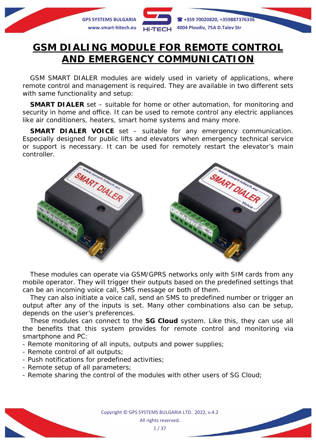

# **GSM DIALING MODULE FOR REMOTE CONTROL AND EMERGENCY COMMUNICATION**

GSM SMART DIALER modules are widely used in variety of applications, where remote control and management is required. They are available in two different sets with same functionality and setup:

**SMART DIALER** set – suitable for home or other automation, for monitoring and security in home and office. It can be used to remote control any electric appliances like air conditioners, heaters, smart home systems and many more.

**SMART DIALER VOICE** set – suitable for any emergency communication. Especially designed for public lifts and elevators when emergency technical service or support is necessary. It can be used for remotely restart the elevator's main controller.



These modules can operate via GSM/GPRS networks only with SIM cards from any mobile operator. They will trigger their outputs based on the predefined settings that can be an incoming voice call, SMS message or both of them.

They can also initiate a voice call, send an SMS to predefined number or trigger an output after any of the inputs is set. Many other combinations also can be setup, depends on the user's preferences.

These modules can connect to the *SG Cloud* system. Like this, they can use all the benefits that this system provides for remote control and monitoring via smartphone and PC:

- Remote monitoring of all inputs, outputs and power supplies;
- Remote control of all outputs;
- Push notifications for predefined activities;
- Remote setup of all parameters;
- Remote sharing the control of the modules with other users of *SG Cloud*;

Copyright © GPS SYSTEMS BULGARIA LTD. 2022, v.4.2 All rights reserved.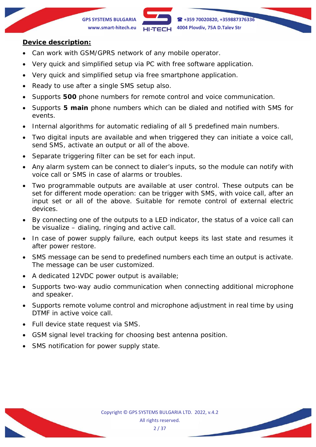**GPS SYSTEMS BULGARIA +359 70020820, +359887376336 www.smart-hitech.eu 4004 Plovdiv, 75A D.Talev Str**

#### **Device description:**

- Can work with GSM/GPRS network of any mobile operator.
- Very quick and simplified setup via PC with free software application.
- Very quick and simplified setup via free smartphone application.
- Ready to use after a single SMS setup also.
- Supports **500** phone numbers for remote control and voice communication.
- Supports **5 main** phone numbers which can be dialed and notified with SMS for events.
- Internal algorithms for automatic redialing of all 5 predefined main numbers.
- Two digital inputs are available and when triggered they can initiate a voice call, send SMS, activate an output or all of the above.
- Separate triggering filter can be set for each input.
- Any alarm system can be connect to dialer's inputs, so the module can notify with voice call or SMS in case of alarms or troubles.
- Two programmable outputs are available at user control. These outputs can be set for different mode operation: can be trigger with SMS, with voice call, after an input set or all of the above. Suitable for remote control of external electric devices.
- By connecting one of the outputs to a LED indicator, the status of a voice call can be visualize – dialing, ringing and active call.
- In case of power supply failure, each output keeps its last state and resumes it after power restore.
- SMS message can be send to predefined numbers each time an output is activate. The message can be user customized.
- A dedicated 12VDC power output is available;
- Supports two-way audio communication when connecting additional microphone and speaker.
- Supports remote volume control and microphone adjustment in real time by using DTMF in active voice call.
- Full device state request via SMS.
- GSM signal level tracking for choosing best antenna position.
- SMS notification for power supply state.

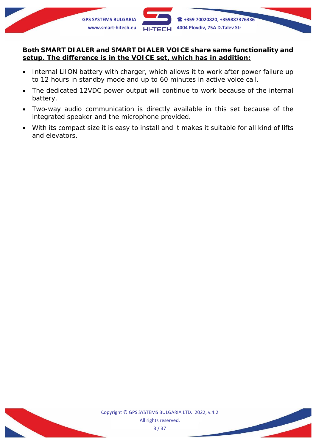

### **Both SMART DIALER and SMART DIALER VOICE share same functionality and setup. The difference is in the VOICE set, which has in addition:**

- Internal LiION battery with charger, which allows it to work after power failure up to 12 hours in standby mode and up to 60 minutes in active voice call.
- The dedicated 12VDC power output will continue to work because of the internal battery.
- Two-way audio communication is directly available in this set because of the integrated speaker and the microphone provided.
- With its compact size it is easy to install and it makes it suitable for all kind of lifts and elevators.

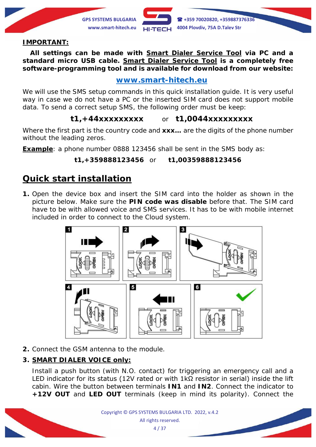**GPS SYSTEMS BULGARIA +359 70020820, +359887376336 www.smart-hitech.eu 4004 Plovdiv, 75A D.Talev Str**

#### **IMPORTANT:**

**All settings can be made with** *Smart Dialer Service Tool* **via PC and a standard micro USB cable.** *Smart Dialer Service Tool* **is a completely free software-programming tool and is available for download from our website:**

### **[www.smart-hitech.eu](http://www.smart-hitech.eu/)**

We will use the SMS setup commands in this quick installation guide. It is very useful way in case we do not have a PC or the inserted SIM card does not support mobile data. To send a correct setup SMS, the following order must be keep:

## **t1,+44xxxxxxxxx** or **t1,0044xxxxxxxxx**

Where the first part is the country code and **xxx…** are the digits of the phone number without the leading zeros.

**Example**: a phone number 0888 123456 shall be sent in the SMS body as:

### **t1,+359888123456** or **t1,00359888123456**

# **Quick start installation**

**1.** Open the device box and insert the SIM card into the holder as shown in the picture below. Make sure the **PIN code was disable** before that. The SIM card have to be with allowed voice and SMS services. It has to be with mobile internet included in order to connect to the *Cloud* system.



**2.** Connect the GSM antenna to the module.

### **3. SMART DIALER VOICE only:**

Install a push button (with N.O. contact) for triggering an emergency call and a LED indicator for its status (12V rated or with  $1k\Omega$  resistor in serial) inside the lift cabin. Wire the button between terminals **IN1** and **IN2**. Connect the indicator to **+12V OUT** and **LED OUT** terminals (keep in mind its polarity). Connect the

> Copyright © GPS SYSTEMS BULGARIA LTD. 2022, v.4.2 All rights reserved. 4 / 37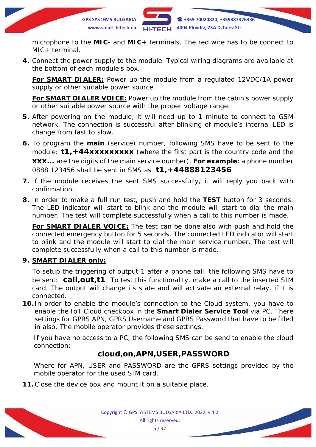

microphone to the **MIC-** and **MIC+** terminals. The red wire has to be connect to MIC+ terminal.

**4.** Connect the power supply to the module. Typical wiring diagrams are available at the bottom of each module's box.

**For SMART DIALER:** Power up the module from a regulated 12VDC/1A power supply or other suitable power source.

**For SMART DIALER VOICE:** Power up the module from the cabin's power supply or other suitable power source with the proper voltage range.

- **5.** After powering on the module, it will need up to 1 minute to connect to GSM network. The connection is successful after blinking of module's internal LED is change from fast to slow.
- **6.** To program the **main** (service) number, following SMS have to be sent to the module: **t1,+44xxxxxxxxx** (where the first part is the country code and the **xxx…** are the digits of the main service number). **For example:** a phone number 0888 123456 shall be sent in SMS as **t1,+44888123456**
- **7.** If the module receives the sent SMS successfully, it will reply you back with confirmation.
- **8.** In order to make a full run test, push and hold the **TEST** button for 3 seconds. The LED indicator will start to blink and the module will start to dial the main number. The test will complete successfully when a call to this number is made.

**For SMART DIALER VOICE:** The test can be done also with push and hold the connected emergency button for 5 seconds. The connected LED indicator will start to blink and the module will start to dial the main service number. The test will complete successfully when a call to this number is made.

### **9. SMART DIALER only:**

To setup the triggering of output 1 after a phone call, the following SMS have to be sent: **call,out,t1** To test this functionality, make a call to the inserted SIM card. The output will change its state and will activate an external relay, if it is connected.

**10.** In order to enable the module's connection to the *Cloud* system, you have to enable the *IoT Cloud* checkbox in the *Smart Dialer Service Tool* via PC. There settings for *GPRS APN*, *GPRS Username* and *GPRS Password* that have to be filled in also. The mobile operator provides these settings.

If you have no access to a PC, the following SMS can be send to enable the cloud connection:

# **cloud,on,APN,USER,PASSWORD**

Where for *APN*, *USER* and *PASSWORD* are the GPRS settings provided by the mobile operator for the used SIM card.

**11.**Close the device box and mount it on a suitable place.

Copyright © GPS SYSTEMS BULGARIA LTD. 2022, v.4.2 All rights reserved. 5 / 37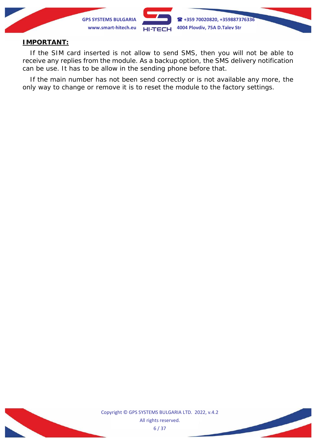

#### **IMPORTANT:**

If the SIM card inserted is not allow to send SMS, then you will not be able to *receive any replies from the module. As a backup option, the SMS delivery notification can be use. It has to be allow in the sending phone before that.*

*If the main number has not been send correctly or is not available any more, the only way to change or remove it is to reset the module to the factory settings.*



Copyright © GPS SYSTEMS BULGARIA LTD. 2022, v.4.2 All rights reserved. 6 / 37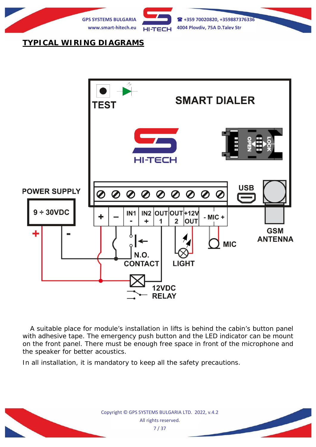

# **TYPICAL WIRING DIAGRAMS**



A suitable place for module's installation in lifts is behind the cabin's button panel with adhesive tape. The emergency push button and the LED indicator can be mount on the front panel. There must be enough free space in front of the microphone and the speaker for better acoustics.

In all installation, it is mandatory to keep all the safety precautions.

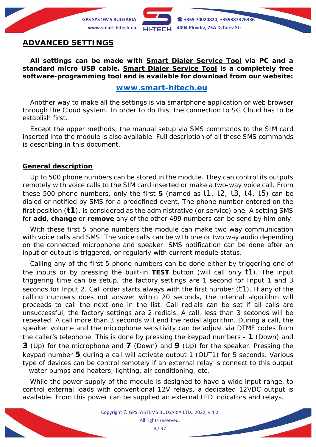

### **ADVANCED SETTINGS**

**All settings can be made with** *Smart Dialer Service Tool* **via PC and a standard micro USB cable.** *Smart Dialer Service Tool* **is a completely free software-programming tool and is available for download from our website:**

### **[www.smart-hitech.eu](http://www.smart-hitech.eu/)**

Another way to make all the settings is via smartphone application or web browser through the *Cloud* system. In order to do this, the connection to *SG Cloud* has to be establish first.

Except the upper methods, the manual setup via SMS commands to the SIM card inserted into the module is also available. Full description of all these SMS commands is describing in this document.

#### **General description**

Up to 500 phone numbers can be stored in the module. They can control its outputs remotely with voice calls to the SIM card inserted or make a two-way voice call. From these 500 phone numbers, only the first **5** (named as t1, t2, t3, t4, t5) can be dialed or notified by SMS for a predefined event. The phone number entered on the first position (**t1**), is considered as the administrative (or service) one. A setting SMS for **add**, **change** or **remove** any of the other 499 numbers can be send by him only.

With these first 5 phone numbers the module can make two way communication with voice calls and SMS. The voice calls can be with one or two way audio depending on the connected microphone and speaker. SMS notification can be done after an input or output is triggered, or regularly with current module status.

Calling any of the first 5 phone numbers can be done either by triggering one of the inputs or by pressing the built-in **TEST** button (*will call only t1*). The input triggering time can be setup, the factory settings are *1 second* for Input 1 and *3 seconds* for Input 2. Call order starts always with the first number (*t1*). If any of the calling numbers does not answer within 20 seconds, the internal algorithm will proceeds to call the next one in the list. Call redials can be set if all calls are unsuccessful, the factory settings are 2 redials. A call, less than 3 seconds will be repeated. A call more than 3 seconds will end the redial algorithm. During a call, the speaker volume and the microphone sensitivity can be adjust via DTMF codes from the caller's telephone. This is done by pressing the keypad numbers - **1** (Down) and **3** (Up) for the microphone and **7** (Down) and **9** (Up) for the speaker. Pressing the keypad number **5** during a call will activate output 1 (OUT1) for 5 seconds. Various type of devices can be control remotely if an external relay is connect to this output – water pumps and heaters, lighting, air conditioning, etc.

While the power supply of the module is designed to have a wide input range, to control external loads with conventional 12V relays, a dedicated 12VDC output is available. From this power can be supplied an external LED indicators and relays.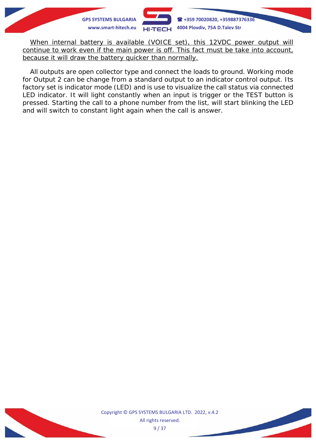

*When internal battery is available (VOICE set), this 12VDC power output will continue to work even if the main power is off. This fact must be take into account, because it will draw the battery quicker than normally.*

All outputs are open collector type and connect the loads to ground. Working mode for Output 2 can be change from a standard output to an indicator control output. Its factory set is indicator mode (LED) and is use to visualize the call status via connected LED indicator. It will light constantly when an input is trigger or the TEST button is pressed. Starting the call to a phone number from the list, will start blinking the LED and will switch to constant light again when the call is answer.



Copyright © GPS SYSTEMS BULGARIA LTD. 2022, v.4.2 All rights reserved. 9 / 37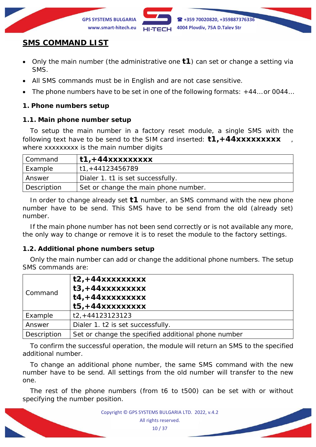

# **SMS COMMAND LIST**

- Only the main number (the administrative one **t1**) can set or change a setting via SMS.
- All SMS commands must be in English and are not case sensitive.
- The phone numbers have to be set in one of the following formats: +44... or 0044...

### **1. Phone numbers setup**

### **1.1. Main phone number setup**

To setup the main number in a factory reset module, a single SMS with the following text have to be send to the SIM card inserted: **t1, +44xxxxxxxxx** where xxxxxxxxx is the main number digits

| Command     | $\pm 1$ , $+44$ xxxxxxxxx            |
|-------------|--------------------------------------|
| Example     | t1,+44123456789                      |
| Answer      | Dialer 1. t1 is set successfully.    |
| Description | Set or change the main phone number. |

In order to change already set **t1** number, an SMS command with the new phone number have to be send. This SMS have to be send from the old (already set) number.

If the main phone number has not been send correctly or is not available any more, the only way to change or remove it is to reset the module to the factory settings.

### **1.2. Additional phone numbers setup**

Only the main number can add or change the additional phone numbers. The setup SMS commands are:

| Command     | $t2, +44xxxxxxxx$<br>$t3, +44xxxxxxxxx$<br>$t4, +44xxxxxxxxx$<br>$t5, +44xxxxxxxxx$ |  |
|-------------|-------------------------------------------------------------------------------------|--|
| Example     | $t2, +44123123123$                                                                  |  |
| Answer      | Dialer 1. t2 is set successfully.                                                   |  |
| Description | Set or change the specified additional phone number                                 |  |

To confirm the successful operation, the module will return an SMS to the specified additional number.

To change an additional phone number, the same SMS command with the new number have to be send. All settings from the old number will transfer to the new one.

The rest of the phone numbers (from t6 to t500) can be set with or without specifying the number position.

> Copyright © GPS SYSTEMS BULGARIA LTD. 2022, v.4.2 All rights reserved. 10 / 37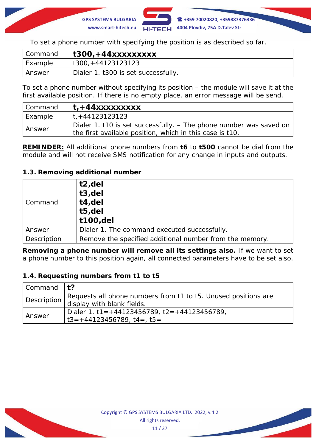

To set a phone number with specifying the position is as described so far.

| Command | t300,+44xxxxxxxxx                   |
|---------|-------------------------------------|
| Example | t300, +44123123123                  |
| Answer  | Dialer 1. t300 is set successfully. |

To set a phone number without specifying its position – the module will save it at the first available position. If there is no empty place, an error message will be send.

| l Command | $t + 44x$ xxxxxxxxx                                                  |  |
|-----------|----------------------------------------------------------------------|--|
| Example   | t, +44123123123                                                      |  |
| Answer    | Dialer 1. t10 is set successfully. $-$ The phone number was saved on |  |
|           | the first available position, which in this case is t10.             |  |

*REMINDER: All additional phone numbers from t6 to t500 cannot be dial from the module and will not receive SMS notification for any change in inputs and outputs.*

### **1.3. Removing additional number**

| Command     | t2,del<br>t3,del<br>t4,del<br>t5,del<br>t100,del        |  |
|-------------|---------------------------------------------------------|--|
| Answer      | Dialer 1. The command executed successfully.            |  |
| Description | Remove the specified additional number from the memory. |  |

*Removing a phone number will remove all its settings also.* If we want to set a phone number to this position again, all connected parameters have to be set also.

### **1.4. Requesting numbers from t1 to t5**

| Command $ t$ ? |                                                                |  |
|----------------|----------------------------------------------------------------|--|
|                | Requests all phone numbers from t1 to t5. Unused positions are |  |
|                | Description display with blank fields.                         |  |
| Answer         | Dialer 1. t1 = $+44123456789$ , t2 = $+44123456789$ ,          |  |
|                | $1 t3 = +44123456789$ , $t4 =$ , $t5 =$                        |  |

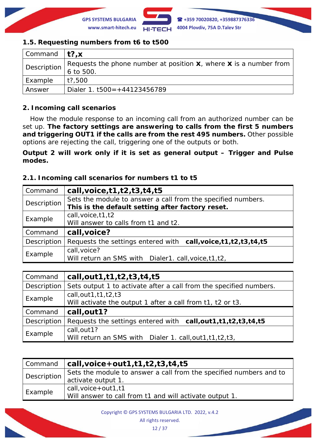

### **1.5. Requesting numbers from t6 to t500**

| Command $\mathbf{t}$ ?, x |                                                                        |  |
|---------------------------|------------------------------------------------------------------------|--|
| Description               | Requests the phone number at position $x$ , where $x$ is a number from |  |
|                           | 6 to 500.                                                              |  |
| Example                   | t?,500                                                                 |  |
| Answer                    | Dialer 1. $t500 = +44123456789$                                        |  |

### **2. Incoming call scenarios**

How the module response to an incoming call from an authorized number can be set up. *The factory settings are answering to calls from the first 5 numbers and triggering OUT1 if the calls are from the rest 495 numbers.* Other possible options are rejecting the call, triggering one of the outputs or both.

*Output 2 will work only if it is set as general output – Trigger and Pulse modes***.**

### **2.1. Incoming call scenarios for numbers t1 to t5**

| Command     | call, voice, $t1$ , $t2$ , $t3$ , $t4$ , $t5$                      |  |
|-------------|--------------------------------------------------------------------|--|
| Description | Sets the module to answer a call from the specified numbers.       |  |
|             | This is the default setting after factory reset.                   |  |
| Example     | call, voice, t1, t2<br>Will answer to calls from t1 and t2.        |  |
| Command     | call, voice?                                                       |  |
| Description | Requests the settings entered with call, voice, t1, t2, t3, t4, t5 |  |
| Example     | call, voice?                                                       |  |
|             | Will return an SMS with Dialer1. call, voice, t1, t2,              |  |

| Command     | call, out 1, t1, t2, t3, t4, t5                                                         |  |
|-------------|-----------------------------------------------------------------------------------------|--|
| Description | Sets output 1 to activate after a call from the specified numbers.                      |  |
| Example     | call, out $1, t1, t2, t3$<br>Will activate the output 1 after a call from t1, t2 or t3. |  |
|             |                                                                                         |  |
| Command     | call, out 1?                                                                            |  |
| Description | Requests the settings entered with call, out 1, t1, t2, t3, t4, t5                      |  |

| Command     | $\vert$ call, voice + out 1, t 1, t 2, t 3, t 4, t 5               |  |
|-------------|--------------------------------------------------------------------|--|
| Description | Sets the module to answer a call from the specified numbers and to |  |
|             | activate output 1.                                                 |  |
| Example     | call, voice + out 1, t1                                            |  |
|             | Will answer to call from t1 and will activate output 1.            |  |

Copyright © GPS SYSTEMS BULGARIA LTD. 2022, v.4.2

All rights reserved.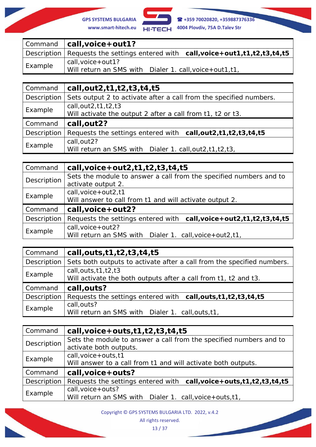

**GPS SYSTEMS BULGARIA +359 70020820, +359887376336**

|         | Command $ call, voice + out1?$                                                     |  |
|---------|------------------------------------------------------------------------------------|--|
|         | Description   Requests the settings entered with call, voice+out1,t1,t2,t3,t4,t5   |  |
| Example | call, voice + out 1?<br>Will return an SMS with Dialer 1. call, voice + out 1, t1, |  |

| Command     | call, out 2, t1, t2, t3, t4, t5                                                                 |  |
|-------------|-------------------------------------------------------------------------------------------------|--|
| Description | Sets output 2 to activate after a call from the specified numbers.                              |  |
| Example     | call, $out2$ , $t1$ , $t2$ , $t3$<br>Will activate the output 2 after a call from t1, t2 or t3. |  |
| Command     | call, out 2?                                                                                    |  |
| Description | Requests the settings entered with call, out 2, t1, t2, t3, t4, t5                              |  |
| Example     | call, out 2?<br>Will return an SMS with Dialer 1. call, out 2, t1, t2, t3,                      |  |

| Command     | call, voice + out $2$ , t $1$ , t $2$ , t $3$ , t $4$ , t $5$                            |
|-------------|------------------------------------------------------------------------------------------|
| Description | Sets the module to answer a call from the specified numbers and to<br>activate output 2. |
| Example     | call, $voice + out2, t1$<br>Will answer to call from t1 and will activate output 2.      |
| Command     | call, voice + out 2?                                                                     |
| Description | Requests the settings entered with call, voice + out 2, t1, t2, t3, t4, t5               |
| Example     | $call, voice + out2?$<br>Will return an SMS with Dialer 1. call, voice + out 2, t1,      |

| Command     | call, outs, t1, t2, t3, t4, t5                                                              |
|-------------|---------------------------------------------------------------------------------------------|
| Description | Sets both outputs to activate after a call from the specified numbers.                      |
| Example     | call, outs, $t1, t2, t3$<br>Will activate the both outputs after a call from t1, t2 and t3. |
| Command     | call, outs?                                                                                 |
| Description | Requests the settings entered with call, outs, t1, t2, t3, t4, t5                           |
| Example     | call, outs?<br>Will return an SMS with Dialer 1. call, outs, t1,                            |

| Command     | call, voice + outs, $t1$ , $t2$ , $t3$ , $t4$ , $t5$                      |
|-------------|---------------------------------------------------------------------------|
| Description | Sets the module to answer a call from the specified numbers and to        |
|             | activate both outputs.                                                    |
| Example     | call, $voice + outs, t1$                                                  |
|             | Will answer to a call from t1 and will activate both outputs.             |
| Command     | call, voice + outs?                                                       |
| Description | Requests the settings entered with call, voice + outs, t1, t2, t3, t4, t5 |
| Example     | call, voice + outs?                                                       |
|             | Will return an SMS with Dialer 1. call, voice + outs, t1,                 |

Copyright © GPS SYSTEMS BULGARIA LTD. 2022, v.4.2

All rights reserved.

13 / 37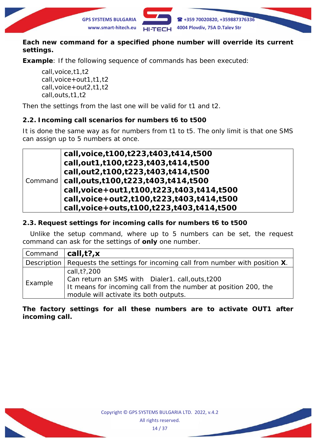

### *Each new command for a specified phone number will override its current settings.*

**Example**: If the following sequence of commands has been executed:

*call,voice,t1,t2 call,voice+out1,t1,t2 call,voice+out2,t1,t2 call,outs,t1,t2*

Then the settings from the last one will be valid for t1 and t2.

### **2.2. Incoming call scenarios for numbers t6 to t500**

It is done the same way as for numbers from t1 to t5. The only limit is that one SMS can assign up to 5 numbers at once.

|  | call, voice, t100, t223, t403, t414, t500                      |
|--|----------------------------------------------------------------|
|  | call, out 1, t100, t223, t403, t414, t500                      |
|  | call,out2,t100,t223,t403,t414,t500                             |
|  | $\mid$ Command $\mid$ call, outs, t100, t223, t403, t414, t500 |
|  | call, voice + out 1, t100, t223, t403, t414, t500              |
|  | call, voice + out 2, t100, t223, t403, t414, t500              |
|  | call, voice + outs, t100, t223, t403, t414, t500               |

### **2.3. Request settings for incoming calls for numbers t6 to t500**

Unlike the setup command, where up to 5 numbers can be set, the request command can ask for the settings of **only** one number.

| $\mid$ Command $\mid$ <b>call,t?, x</b> |                                                                                                                                                                                |
|-----------------------------------------|--------------------------------------------------------------------------------------------------------------------------------------------------------------------------------|
|                                         | Description   Requests the settings for incoming call from number with position $X$ .                                                                                          |
| Example                                 | call, t?, 200<br>Can return an SMS with Dialer1. call, outs, t200<br>It means for incoming call from the number at position 200, the<br>module will activate its both outputs. |

**The factory settings for all these numbers are to activate OUT1 after incoming call.**

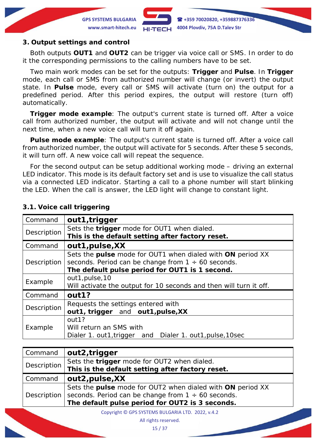

#### **3. Output settings and control**

Both outputs **OUT1** and **OUT2** can be trigger via voice call or SMS. In order to do it the corresponding permissions to the calling numbers have to be set.

Two main work modes can be set for the outputs: **Trigger** and **Pulse**. In **Trigger** mode, each call or SMS from authorized number will change (or invert) the output state. In **Pulse** mode, every call or SMS will activate (turn on) the output for a predefined period. After this period expires, the output will restore (turn off) automatically.

**Trigger mode example**: The output's current state is turned off. After a voice call from authorized number, the output will activate and will not change until the next time, when a new voice call will turn it off again.

**Pulse mode example**: The output's current state is turned off. After a voice call from authorized number, the output will activate for 5 seconds. After these 5 seconds, it will turn off. A new voice call will repeat the sequence.

For the second output can be setup additional working mode – driving an external LED indicator. This mode is its default factory set and is use to visualize the call status via a connected LED indicator. Starting a call to a phone number will start blinking the LED. When the call is answer, the LED light will change to constant light.

| Command     | out1, trigger                                                      |
|-------------|--------------------------------------------------------------------|
| Description | Sets the trigger mode for OUT1 when dialed.                        |
|             | This is the default setting after factory reset.                   |
| Command     | out1, pulse, XX                                                    |
|             | Sets the pulse mode for OUT1 when dialed with ON period XX         |
| Description | seconds. Period can be change from $1 \div 60$ seconds.            |
|             | The default pulse period for OUT1 is 1 second.                     |
| Example     | out1, pulse, 10                                                    |
|             | Will activate the output for 10 seconds and then will turn it off. |
| Command     | out1?                                                              |
| Description | Requests the settings entered with                                 |
|             | out1, trigger and out1, pulse, XX                                  |
| Example     | out1?                                                              |
|             | Will return an SMS with                                            |
|             | Dialer 1. out1, trigger and Dialer 1. out1, pulse, 10sec           |

#### **3.1. Voice call triggering**

| Command     | out2, trigger                                                                                                         |
|-------------|-----------------------------------------------------------------------------------------------------------------------|
| Description | Sets the trigger mode for OUT2 when dialed.                                                                           |
|             | This is the default setting after factory reset.                                                                      |
| Command     | out2, pulse, XX                                                                                                       |
| Description | Sets the pulse mode for OUT2 when dialed with ON period XX<br>seconds. Period can be change from $1 \div 60$ seconds. |
|             | The default pulse period for OUT2 is 3 seconds.                                                                       |

Copyright © GPS SYSTEMS BULGARIA LTD. 2022, v.4.2

All rights reserved.

15 / 37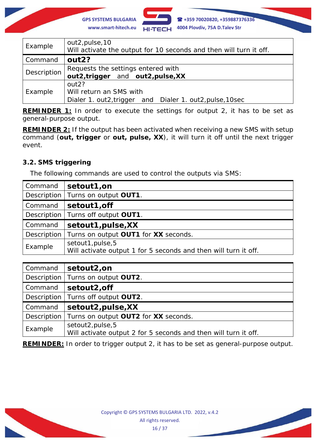

**GPS SYSTEMS BULGARIA +359 70020820, +359887376336**

| Example     | out2, pulse, 10<br>Will activate the output for 10 seconds and then will turn it off.                    |
|-------------|----------------------------------------------------------------------------------------------------------|
| Command     | out <sub>2?</sub>                                                                                        |
| Description | Requests the settings entered with<br>out2, trigger and out2, pulse, XX                                  |
| Example     | out <sub>2?</sub><br>Will return an SMS with<br>Dialer 1. out2, trigger and Dialer 1. out2, pulse, 10sec |

*REMINDER 1: In order to execute the settings for output 2, it has to be set as general-purpose output.*

*REMINDER 2: If the output has been activated when receiving a new SMS with setup command (out, trigger or out, pulse, XX), it will turn it off until the next trigger event.*

## **3.2. SMS triggering**

The following commands are used to control the outputs via SMS:

| Command | setout1,on                                                                           |
|---------|--------------------------------------------------------------------------------------|
|         | Description   Turns on output OUT1.                                                  |
| Command | setout1, off                                                                         |
|         | Description   Turns off output OUT1.                                                 |
| Command | setout1, pulse, XX                                                                   |
|         | Description   Turns on output OUT1 for XX seconds.                                   |
| Example | setout1, pulse, 5<br>Will activate output 1 for 5 seconds and then will turn it off. |

| Command     | setout2,on                                                                           |
|-------------|--------------------------------------------------------------------------------------|
|             | Description   Turns on output OUT2.                                                  |
| Command     | setout2, off                                                                         |
|             | Description   Turns off output OUT2.                                                 |
| Command     | setout2, pulse, XX                                                                   |
| Description | Turns on output OUT2 for XX seconds.                                                 |
| Example     | setout2, pulse, 5<br>Will activate output 2 for 5 seconds and then will turn it off. |

*REMINDER: In order to trigger output 2, it has to be set as general-purpose output.*

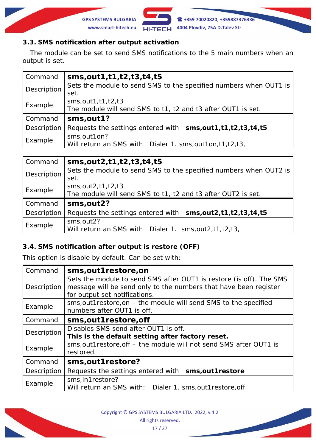

### **3.3. SMS notification after output activation**

The module can be set to send SMS notifications to the 5 main numbers when an output is set.

| Command     | sms, out 1, t 1, t 2, t 3, t 4, t 5                                                          |
|-------------|----------------------------------------------------------------------------------------------|
| Description | Sets the module to send SMS to the specified numbers when OUT1 is<br>set.                    |
| Example     | $sms$ , out 1, t 1, t 2, t 3<br>The module will send SMS to t1, t2 and t3 after OUT1 is set. |
| Command     | sms, out 1?                                                                                  |
| Description | Requests the settings entered with sms, out 1, t1, t2, t3, t4, t5                            |
| Example     | sms, out 1 on?<br>Will return an SMS with Dialer 1. sms, out 1 on, t1, t2, t3,               |

| Command     | sms, out 2, t 1, t 2, t 3, t 4, t 5                               |
|-------------|-------------------------------------------------------------------|
| Description | Sets the module to send SMS to the specified numbers when OUT2 is |
|             | set.                                                              |
| Example     | sms, out2, t1, t2, t3                                             |
|             | The module will send SMS to t1, t2 and t3 after OUT2 is set.      |
| Command     | sms, out 2?                                                       |
| Description | Requests the settings entered with sms, out 2, t1, t2, t3, t4, t5 |
| Example     | sms, out 2?                                                       |
|             | Will return an SMS with Dialer 1. sms, out 2, t1, t2, t3,         |

### **3.4. SMS notification after output is restore (OFF)**

This option is disable by default. Can be set with:

| Command     | sms, out 1 restore, on                                                                                                                                                   |
|-------------|--------------------------------------------------------------------------------------------------------------------------------------------------------------------------|
| Description | Sets the module to send SMS after OUT1 is restore (is off). The SMS<br>message will be send only to the numbers that have been register<br>for output set notifications. |
| Example     | sms, out 1 restore, on – the module will send SMS to the specified<br>numbers after OUT1 is off.                                                                         |
| Command     | sms, out 1 restore, off                                                                                                                                                  |
| Description | Disables SMS send after OUT1 is off.<br>This is the default setting after factory reset.                                                                                 |
| Example     | sms, out 1 restore, off – the module will not send SMS after OUT1 is<br>restored.                                                                                        |
| Command     | sms, out 1 restore?                                                                                                                                                      |
| Description | Requests the settings entered with sms, out 1 restore                                                                                                                    |
| Example     | sms, in 1 restore?<br>Will return an SMS with: Dialer 1. sms, out 1 restore, off                                                                                         |

Copyright © GPS SYSTEMS BULGARIA LTD. 2022, v.4.2 All rights reserved. 17 / 37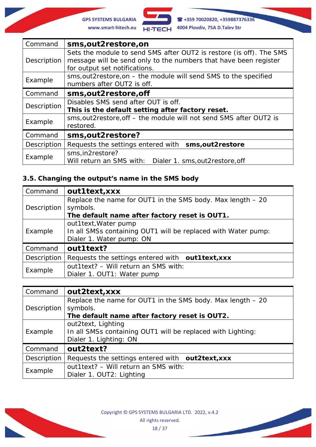

**GPS SYSTEMS BULGARIA +359 70020820, +359887376336 www.smart-hitech.eu 4004 Plovdiv, 75A D.Talev Str**

| Command     | sms, out 2 restore, on                                                                                                                                                   |
|-------------|--------------------------------------------------------------------------------------------------------------------------------------------------------------------------|
| Description | Sets the module to send SMS after OUT2 is restore (is off). The SMS<br>message will be send only to the numbers that have been register<br>for output set notifications. |
| Example     | sms, out 2 restore, on – the module will send SMS to the specified<br>numbers after OUT2 is off.                                                                         |
| Command     | sms, out 2 restore, off                                                                                                                                                  |
| Description | Disables SMS send after OUT is off.<br>This is the default setting after factory reset.                                                                                  |
| Example     | sms, out 2 restore, off – the module will not send SMS after OUT2 is<br>restored.                                                                                        |
| Command     | sms, out 2 restore?                                                                                                                                                      |
| Description | Requests the settings entered with sms, out2restore                                                                                                                      |
| Example     | sms, in2restore?<br>Will return an SMS with: Dialer 1. sms, out 2 restore, off                                                                                           |

# **3.5. Changing the output's name in the SMS body**

| Command     | out1text, xxx                                                                                                     |
|-------------|-------------------------------------------------------------------------------------------------------------------|
| Description | Replace the name for OUT1 in the SMS body. Max length - 20<br>symbols.                                            |
|             | The default name after factory reset is OUT1.                                                                     |
| Example     | out1text, Water pump<br>In all SMSs containing OUT1 will be replaced with Water pump:<br>Dialer 1. Water pump: ON |
| Command     | out1text?                                                                                                         |
| Description | Requests the settings entered with out1text, xxx                                                                  |
| Example     | out1text? - Will return an SMS with:<br>Dialer 1. OUT1: Water pump                                                |

| Command     | out2text, xxx                                                                                               |
|-------------|-------------------------------------------------------------------------------------------------------------|
| Description | Replace the name for OUT1 in the SMS body. Max length - 20<br>symbols.                                      |
|             | The default name after factory reset is OUT2.                                                               |
| Example     | out2text, Lighting<br>In all SMSs containing OUT1 will be replaced with Lighting:<br>Dialer 1. Lighting: ON |
| Command     | out2text?                                                                                                   |
| Description | Requests the settings entered with out2text, xxx                                                            |
| Example     | out1text? - Will return an SMS with:<br>Dialer 1. OUT2: Lighting                                            |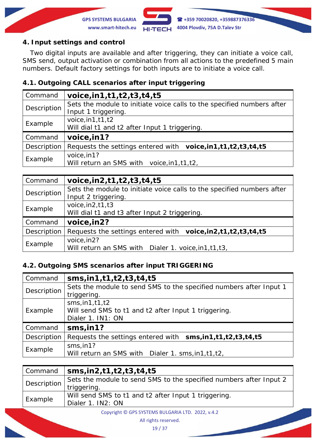

### **4. Input settings and control**

Two digital inputs are available and after triggering, they can initiate a voice call, SMS send, output activation or combination from all actions to the predefined 5 main numbers. Default factory settings for both inputs are to initiate a voice call.

### **4.1. Outgoing CALL scenarios after input triggering**

| Command     | voice, in 1, t 1, t 2, t 3, t 4, t 5                                                          |
|-------------|-----------------------------------------------------------------------------------------------|
| Description | Sets the module to initiate voice calls to the specified numbers after<br>Input 1 triggering. |
| Example     | voice, $in1, t1, t2$<br>Will dial t1 and t2 after Input 1 triggering.                         |
| Command     | voice, in 1?                                                                                  |
| Description | Requests the settings entered with voice, in 1, t1, t2, t3, t4, t5                            |
| Example     | voice, in 1?<br>Will return an SMS with voice, in 1, t1, t2,                                  |

| Command     | voice, in 2, t 1, t 2, t 3, t 4, t 5                                                          |
|-------------|-----------------------------------------------------------------------------------------------|
| Description | Sets the module to initiate voice calls to the specified numbers after<br>Input 2 triggering. |
| Example     | voice, $in2, t1, t3$<br>Will dial t1 and t3 after Input 2 triggering.                         |
| Command     | voice, in 2?                                                                                  |
| Description | Requests the settings entered with voice, in 2, t1, t2, t3, t4, t5                            |
| Example     | voice, in 2?<br>Will return an SMS with Dialer 1. voice, in 1, t1, t3,                        |

### **4.2. Outgoing SMS scenarios after input TRIGGERING**

| Command     | sms, in 1, t 1, t 2, t 3, t 4, t 5                                                             |
|-------------|------------------------------------------------------------------------------------------------|
| Description | Sets the module to send SMS to the specified numbers after Input 1<br>triggering.              |
| Example     | sms, in 1, t1, t2<br>Will send SMS to t1 and t2 after Input 1 triggering.<br>Dialer 1. IN1: ON |
| Command     | sms, in1?                                                                                      |
| Description | Requests the settings entered with sms, in1, t1, t2, t3, t4, t5                                |
| Example     | sms,in1?<br>Will return an SMS with Dialer 1. sms, in 1, t1, t2,                               |

| Command     | $\frac{1}{2}$ sms, in 2, t 1, t 2, t 3, t 4, t 5                   |
|-------------|--------------------------------------------------------------------|
| Description | Sets the module to send SMS to the specified numbers after Input 2 |
|             | triggering.                                                        |
| Example     | Will send SMS to t1 and t2 after Input 1 triggering.               |
|             | Dialer 1. IN2: ON                                                  |
|             |                                                                    |

Copyright © GPS SYSTEMS BULGARIA LTD. 2022, v.4.2

All rights reserved.

19 / 37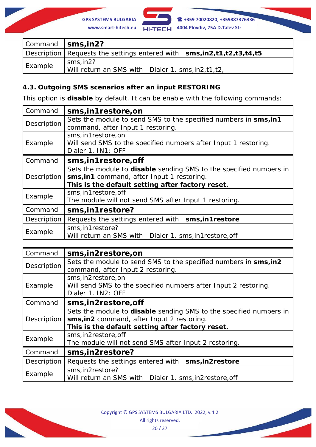

|         | Command   sms, in 2?                                                       |
|---------|----------------------------------------------------------------------------|
|         | Description   Requests the settings entered with $sms, in2,t1,t2,t3,t4,t5$ |
| Example | sms.in2?<br>Will return an SMS with Dialer 1. sms, in 2, t1, t2,           |

### **4.3. Outgoing SMS scenarios after an input RESTORING**

This option is **disable** by default. It can be enable with the following commands:

| Command     | sms, in 1 restore, on                                                                                                                                                 |
|-------------|-----------------------------------------------------------------------------------------------------------------------------------------------------------------------|
| Description | Sets the module to send SMS to the specified numbers in sms, in 1<br>command, after Input 1 restoring.                                                                |
| Example     | sms, in 1 restore, on<br>Will send SMS to the specified numbers after Input 1 restoring.<br>Dialer 1. IN1: OFF                                                        |
| Command     | sms, in 1 restore, off                                                                                                                                                |
| Description | Sets the module to disable sending SMS to the specified numbers in<br>sms, in 1 command, after Input 1 restoring.<br>This is the default setting after factory reset. |
| Example     | sms, in 1 restore, off<br>The module will not send SMS after Input 1 restoring.                                                                                       |
| Command     | sms, in 1 restore?                                                                                                                                                    |
| Description | Requests the settings entered with sms, in 1 restore                                                                                                                  |
| Example     | sms, in 1 restore?<br>Will return an SMS with Dialer 1. sms, in 1 restore, off                                                                                        |

| Command     | sms, in 2 restore, on                                                                  |
|-------------|----------------------------------------------------------------------------------------|
| Description | Sets the module to send SMS to the specified numbers in sms, in 2                      |
|             | command, after Input 2 restoring.                                                      |
| Example     | sms, in2restore, on<br>Will send SMS to the specified numbers after Input 2 restoring. |
|             | Dialer 1. IN2: OFF                                                                     |
| Command     | sms, in2restore, off                                                                   |
|             | Sets the module to <b>disable</b> sending SMS to the specified numbers in              |
| Description | sms, in2 command, after Input 2 restoring.                                             |
|             | This is the default setting after factory reset.                                       |
| Example     | sms, in2restore, off                                                                   |
|             | The module will not send SMS after Input 2 restoring.                                  |
| Command     | sms, in 2 restore?                                                                     |
| Description | Requests the settings entered with sms, in2restore                                     |
| Example     | sms, in2restore?                                                                       |
|             | Will return an SMS with Dialer 1. sms, in2restore, off                                 |

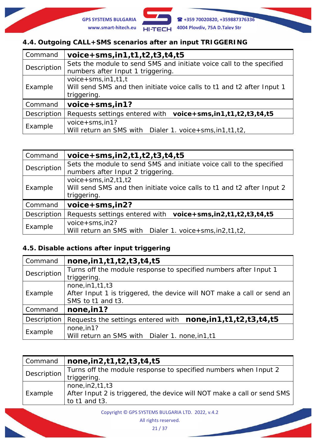

## **4.4. Outgoing CALL+SMS scenarios after an input TRIGGERING**

| Command     | $voice+sms, in1,t1,t2,t3,t4,t5$                                                                                       |
|-------------|-----------------------------------------------------------------------------------------------------------------------|
| Description | Sets the module to send SMS and initiate voice call to the specified<br>numbers after Input 1 triggering.             |
| Example     | $v$ oice + sms, in 1, t 1, t<br>Will send SMS and then initiate voice calls to t1 and t2 after Input 1<br>triggering. |
| Command     | voice+sms, in1?                                                                                                       |
| Description | Requests settings entered with voice+sms, in1, t1, t2, t3, t4, t5                                                     |
| Example     | $voice + sms, in 1?$<br>Will return an SMS with <i>Dialer 1. voice + sms, in 1, t 1, t 2,</i>                         |

| Command     | $voice+sms,in2,t1,t2,t3,t4,t5$                                                                                        |
|-------------|-----------------------------------------------------------------------------------------------------------------------|
| Description | Sets the module to send SMS and initiate voice call to the specified<br>numbers after Input 2 triggering.             |
| Example     | $v$ oice + sms, in 2, t1, t2<br>Will send SMS and then initiate voice calls to t1 and t2 after Input 2<br>triggering. |
| Command     | voice+sms, in 2?                                                                                                      |
| Description | Requests settings entered with voice+sms, in2,t1,t2,t3,t4,t5                                                          |
| Example     | $v$ oice + sms, in $2$ ?<br>Will return an SMS with <i>Dialer 1. voice + sms, in 2, t 1, t 2,</i>                     |

# **4.5. Disable actions after input triggering**

| Command     | none, in 1, t 1, t 2, t 3, t 4, t 5                                    |
|-------------|------------------------------------------------------------------------|
| Description | Turns off the module response to specified numbers after Input 1       |
|             | triggering.                                                            |
| Example     | none, in 1, t 1, t 3                                                   |
|             | After Input 1 is triggered, the device will NOT make a call or send an |
|             | SMS to t1 and t3.                                                      |
| Command     | none, in 1?                                                            |
| Description | Requests the settings entered with none, in1, t1, t2, t3, t4, t5       |
| Example     | none, in 1?                                                            |
|             | Will return an SMS with Dialer 1. none, in 1, t1                       |

| Command     | $\ln$ none, in 2, t 1, t 2, t 3, t 4, t 5                               |
|-------------|-------------------------------------------------------------------------|
| Description | Turns off the module response to specified numbers when Input 2         |
|             | triggering.                                                             |
| Example     | none, in2, t1, t3                                                       |
|             | After Input 2 is triggered, the device will NOT make a call or send SMS |
|             | to t1 and t3.                                                           |

Copyright © GPS SYSTEMS BULGARIA LTD. 2022, v.4.2 All rights reserved.

21 / 37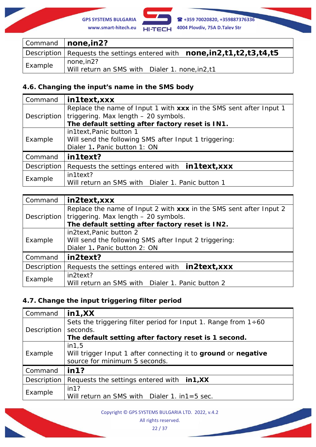**GPS SYSTEMS BULGARIA +359 70020820, +359887376336 www.smart-hitech.eu 4004 Plovdiv, 75A D.Talev Str**

|         | Command   none, in 2?                                                            |
|---------|----------------------------------------------------------------------------------|
|         | Description   Requests the settings entered with $none, in2, t1, t2, t3, t4, t5$ |
| Example | none,in2?                                                                        |
|         | Will return an SMS with Dialer 1. none, in 2, t1                                 |

### **4.6. Changing the input's name in the SMS body**

| Command     | in1text, xxx                                                       |
|-------------|--------------------------------------------------------------------|
| Description | Replace the name of Input 1 with xxx in the SMS sent after Input 1 |
|             | triggering. Max length - 20 symbols.                               |
|             | The default setting after factory reset is IN1.                    |
|             | in1text, Panic button 1                                            |
| Example     | Will send the following SMS after Input 1 triggering:              |
|             | Dialer 1. Panic button 1: ON                                       |
| Command     | in1text?                                                           |
| Description | Requests the settings entered with <b>in 1 text, XXX</b>           |
| Example     | in1text?                                                           |
|             | Will return an SMS with Dialer 1. Panic button 1                   |

| Command     | in2text, xxx                                                                                                     |
|-------------|------------------------------------------------------------------------------------------------------------------|
| Description | Replace the name of Input 2 with xxx in the SMS sent after Input 2<br>triggering. Max length - 20 symbols.       |
|             | The default setting after factory reset is IN2.                                                                  |
| Example     | in2text, Panic button 2<br>Will send the following SMS after Input 2 triggering:<br>Dialer 1. Panic button 2: ON |
| Command     | in2text?                                                                                                         |
| Description | Requests the settings entered with <b>in2text, xxx</b>                                                           |
| Example     | in2text?<br>Will return an SMS with Dialer 1. Panic button 2                                                     |

# **4.7. Change the input triggering filter period**

| Command     | in 1, XX                                                              |
|-------------|-----------------------------------------------------------------------|
| Description | Sets the triggering filter period for Input 1. Range from $1 \div 60$ |
|             | seconds.                                                              |
|             | The default setting after factory reset is 1 second.                  |
|             | in 1, 5                                                               |
| Example     | Will trigger Input 1 after connecting it to ground or negative        |
|             | source for minimum 5 seconds.                                         |
| Command     | in 1?                                                                 |
| Description | Requests the settings entered with $in1,XX$                           |
| Example     | in 1?                                                                 |
|             | Will return an SMS with <i>Dialer 1. in1=5 sec.</i>                   |

Copyright © GPS SYSTEMS BULGARIA LTD. 2022, v.4.2

All rights reserved.

22 / 37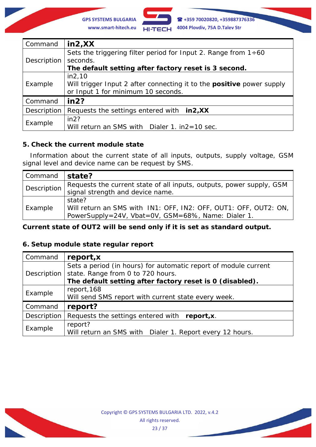

| Command     | $\ln 2, XX$                                                                  |
|-------------|------------------------------------------------------------------------------|
| Description | Sets the triggering filter period for Input 2. Range from $1 \div 60$        |
|             | seconds.                                                                     |
|             | The default setting after factory reset is 3 second.                         |
|             | in2,10                                                                       |
| Example     | Will trigger Input 2 after connecting it to the <b>positive</b> power supply |
|             | or Input 1 for minimum 10 seconds.                                           |
| Command     | in 2?                                                                        |
| Description | Requests the settings entered with in2, XX                                   |
| Example     | in2?                                                                         |
|             | Will return an SMS with Dialer 1. in2=10 sec.                                |

### **5. Check the current module state**

Information about the current state of all inputs, outputs, supply voltage, GSM signal level and device name can be request by SMS.

| Command     | state?                                                                                                                                  |
|-------------|-----------------------------------------------------------------------------------------------------------------------------------------|
| Description | Requests the current state of all inputs, outputs, power supply, GSM<br>signal strength and device name.                                |
| Example     | state?<br>Will return an SMS with <i>IN1: OFF, IN2: OFF, OUT1: OFF, OUT2: ON,</i><br>PowerSupply=24V, Vbat=0V, GSM=68%, Name: Dialer 1. |

### *Current state of OUT2 will be send only if it is set as standard output.*

### **6. Setup module state regular report**

| Command     | report, x                                                       |
|-------------|-----------------------------------------------------------------|
| Description | Sets a period (in hours) for automatic report of module current |
|             | state. Range from 0 to 720 hours.                               |
|             | The default setting after factory reset is 0 (disabled).        |
| Example     | report, 168                                                     |
|             | Will send SMS report with current state every week.             |
| Command     | report?                                                         |
| Description | Requests the settings entered with report, x.                   |
| Example     | report?                                                         |
|             | Will return an SMS with Dialer 1. Report every 12 hours.        |

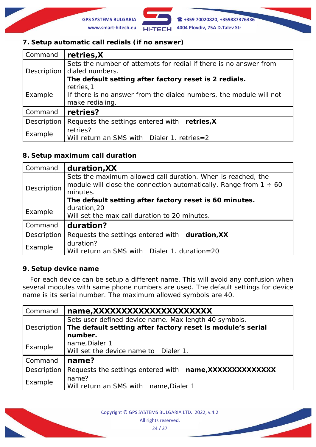

### **7. Setup automatic call redials (if no answer)**

| Command     | retries, X                                                         |
|-------------|--------------------------------------------------------------------|
| Description | Sets the number of attempts for redial if there is no answer from  |
|             | dialed numbers.                                                    |
|             | The default setting after factory reset is 2 redials.              |
|             | retries, 1                                                         |
| Example     | If there is no answer from the dialed numbers, the module will not |
|             | make redialing.                                                    |
| Command     | retries?                                                           |
| Description | Requests the settings entered with retries, X                      |
| Example     | retries?                                                           |
|             | Will return an SMS with Dialer 1. retries=2                        |

### **8. Setup maximum call duration**

| Command     | duration, XX                                                                                                                                                                                                 |
|-------------|--------------------------------------------------------------------------------------------------------------------------------------------------------------------------------------------------------------|
| Description | Sets the maximum allowed call duration. When is reached, the<br>module will close the connection automatically. Range from $1 \div 60$<br>minutes.<br>The default setting after factory reset is 60 minutes. |
| Example     | duration, 20                                                                                                                                                                                                 |
|             | Will set the max call duration to 20 minutes.                                                                                                                                                                |
| Command     | duration?                                                                                                                                                                                                    |
| Description | Requests the settings entered with duration, XX                                                                                                                                                              |
| Example     | duration?<br>Will return an SMS with Dialer 1. duration=20                                                                                                                                                   |

#### **9. Setup device name**

For each device can be setup a different name. This will avoid any confusion when several modules with same phone numbers are used. The default settings for device name is its serial number. The maximum allowed symbols are 40.

| Command     | name, XXXXXXXXXXXXXXXXXXXXX                                                                                                    |  |  |
|-------------|--------------------------------------------------------------------------------------------------------------------------------|--|--|
| Description | Sets user defined device name. Max length 40 symbols.<br>The default setting after factory reset is module's serial<br>number. |  |  |
| Example     | name, Dialer 1<br>Will set the device name to Dialer 1.                                                                        |  |  |
| Command     | name?                                                                                                                          |  |  |
| Description | Requests the settings entered with name, XXXXXXXXXXXXXX                                                                        |  |  |
| Example     | name?<br>Will return an SMS with name, Dialer 1                                                                                |  |  |

Copyright © GPS SYSTEMS BULGARIA LTD. 2022, v.4.2 All rights reserved.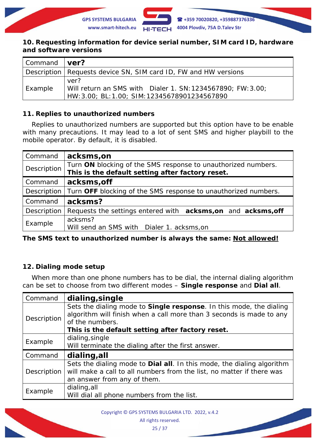

#### **10. Requesting information for device serial number, SIM card ID, hardware and software versions**

| Command | ∣ ver?∣                                                                                                              |  |  |
|---------|----------------------------------------------------------------------------------------------------------------------|--|--|
|         | Description   Requests device SN, SIM card ID, FW and HW versions                                                    |  |  |
| Example | ver?<br>Will return an SMS with Dialer 1. SN: 1234567890; FW: 3.00;<br>HW: 3.00; BL: 1.00; SIM: 12345678901234567890 |  |  |

### **11. Replies to unauthorized numbers**

Replies to unauthorized numbers are supported but this option have to be enable with many precautions. It may lead to a lot of sent SMS and higher playbill to the mobile operator. By default, it is disabled.

| Command     | acksms, on                                                                                                        |  |
|-------------|-------------------------------------------------------------------------------------------------------------------|--|
| Description | Turn ON blocking of the SMS response to unauthorized numbers.<br>This is the default setting after factory reset. |  |
| Command     | acksms, off                                                                                                       |  |
| Description | Turn OFF blocking of the SMS response to unauthorized numbers.                                                    |  |
| Command     | acksms?                                                                                                           |  |
| Description | Requests the settings entered with acksms, on and acksms, off                                                     |  |
| Example     | acksms?<br>Will send an SMS with Dialer 1. acksms, on                                                             |  |

*The SMS text to unauthorized number is always the same: Not allowed!*

### **12. Dialing mode setup**

When more than one phone numbers has to be dial, the internal dialing algorithm can be set to choose from two different modes – **Single response** and **Dial all**.

| Command     | dialing, single                                                                         |  |
|-------------|-----------------------------------------------------------------------------------------|--|
| Description | Sets the dialing mode to <b>Single response</b> . In this mode, the dialing             |  |
|             | algorithm will finish when a call more than 3 seconds is made to any<br>of the numbers. |  |
|             | This is the default setting after factory reset.                                        |  |
| Example     | dialing, single                                                                         |  |
|             | Will terminate the dialing after the first answer.                                      |  |
| Command     | dialing, all                                                                            |  |
| Description | Sets the dialing mode to <b>Dial all</b> . In this mode, the dialing algorithm          |  |
|             | will make a call to all numbers from the list, no matter if there was                   |  |
|             | an answer from any of them.                                                             |  |
|             |                                                                                         |  |
| Example     | dialing, all                                                                            |  |

Copyright © GPS SYSTEMS BULGARIA LTD. 2022, v.4.2 All rights reserved.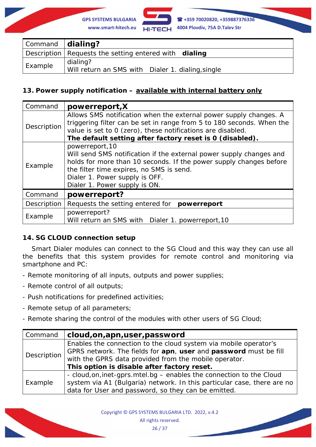

| Command <b>dialing?</b> |                                                               |  |
|-------------------------|---------------------------------------------------------------|--|
|                         | Description   Requests the setting entered with dialing       |  |
| Example                 | dialing?<br>Will return an SMS with Dialer 1. dialing, single |  |

### **13. Power supply notification – available with internal battery only**

| Command     | powerreport, X                                                                                                                                                                                                                                                              |  |  |
|-------------|-----------------------------------------------------------------------------------------------------------------------------------------------------------------------------------------------------------------------------------------------------------------------------|--|--|
| Description | Allows SMS notification when the external power supply changes. A<br>triggering filter can be set in range from 5 to 180 seconds. When the<br>value is set to 0 (zero), these notifications are disabled.<br>The default setting after factory reset is 0 (disabled).       |  |  |
| Example     | powerreport, 10<br>Will send SMS notification if the external power supply changes and<br>holds for more than 10 seconds. If the power supply changes before<br>the filter time expires, no SMS is send.<br>Dialer 1. Power supply is OFF.<br>Dialer 1. Power supply is ON. |  |  |
| Command     | powerreport?                                                                                                                                                                                                                                                                |  |  |
| Description | Requests the setting entered for<br>powerreport                                                                                                                                                                                                                             |  |  |
| Example     | powerreport?<br>Will return an SMS with Dialer 1. powerreport, 10                                                                                                                                                                                                           |  |  |

### **14. SG CLOUD connection setup**

Smart Dialer modules can connect to the SG Cloud and this way they can use all the benefits that this system provides for remote control and monitoring via smartphone and PC:

- Remote monitoring of all inputs, outputs and power supplies;
- Remote control of all outputs;
- Push notifications for predefined activities;
- Remote setup of all parameters;
- Remote sharing the control of the modules with other users of *SG Cloud*;

| Command     | cloud,on,apn,user,password                                                                                                                                                                    |  |  |
|-------------|-----------------------------------------------------------------------------------------------------------------------------------------------------------------------------------------------|--|--|
| Description | Enables the connection to the cloud system via mobile operator's<br>GPRS network. The fields for apn, user and password must be fill<br>with the GPRS data provided from the mobile operator. |  |  |
|             | This option is disable after factory reset.                                                                                                                                                   |  |  |
| Example     | - cloud, on, inet-gprs. mtel. bg – enables the connection to the Cloud<br>system via A1 (Bulgaria) network. In this particular case, there are no                                             |  |  |
|             | data for User and password, so they can be emitted.                                                                                                                                           |  |  |

Copyright © GPS SYSTEMS BULGARIA LTD. 2022, v.4.2 All rights reserved. 26 / 37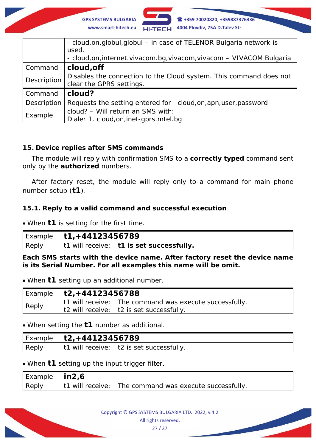

|             | - cloud, on, globul, globul - in case of TELENOR Bulgaria network is<br>used.<br>- cloud, on, internet. vivacom. bg, vivacom, vivacom - VIVACOM Bulgaria |  |  |
|-------------|----------------------------------------------------------------------------------------------------------------------------------------------------------|--|--|
| Command     | cloud, off                                                                                                                                               |  |  |
| Description | Disables the connection to the <i>Cloud</i> system. This command does not<br>clear the GPRS settings.                                                    |  |  |
| Command     | cloud?                                                                                                                                                   |  |  |
| Description | Requests the setting entered for cloud, on, apn, user, password                                                                                          |  |  |
| Example     | cloud? - Will return an SMS with:<br>Dialer 1. cloud, on, inet-gprs. mtel. bg                                                                            |  |  |

### **15. Device replies after SMS commands**

The module will reply with confirmation SMS to a **correctly typed** command sent only by the **authorized** numbers.

After factory reset, the module will reply only to a command for main phone number setup (**t1**).

### **15.1. Reply to a valid command and successful execution**

• When **t1** is setting for the first time.

|       | Example $ t1, +44123456789$ |                                          |  |
|-------|-----------------------------|------------------------------------------|--|
| Reply |                             | t1 will receive: t1 is set successfully. |  |

**Each SMS starts with the device name. After factory reset the device name is its Serial Number. For all examples this name will be omit.**

• When **t1** setting up an additional number.

|       | $^{\dagger}$ Example $~$   t2, +44123456788 |                                                        |
|-------|---------------------------------------------|--------------------------------------------------------|
| Reply |                                             | t1 will receive: The command was execute successfully. |
|       |                                             | $\vert$ t2 will receive: t2 is set successfully.       |

#### • When setting the **t1** number as additional.

| Example | $\frac{1}{2}$   t2, +44123456789                 |  |
|---------|--------------------------------------------------|--|
| Reply   | $\vert$ t1 will receive: t2 is set successfully. |  |

• When **t1** setting up the input trigger filter.

| <sup>I</sup> Example | in2,6            |                                       |
|----------------------|------------------|---------------------------------------|
| Reply                | t1 will receive: | The command was execute successfully. |

Copyright © GPS SYSTEMS BULGARIA LTD. 2022, v.4.2 All rights reserved.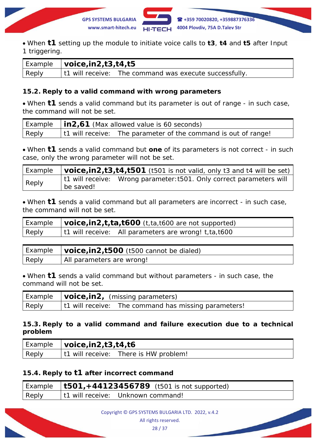

• When **t1** setting up the module to initiate voice calls to **t3**, **t4** and **t5** after Input 1 triggering.

|              | $\vert$ Example $\vert$ <b>voice, in 2, t 3, t 4, t 5</b> |                                                                |
|--------------|-----------------------------------------------------------|----------------------------------------------------------------|
| <b>Reply</b> |                                                           | $\vert$ t1 will receive: The command was execute successfully. |

### **15.2. Reply to a valid command with wrong parameters**

• When **t1** sends a valid command but its parameter is out of range - in such case, the command will not be set.

|       | Example   <b>in2,61</b> <i>(Max allowed value is 60 seconds)</i>       |  |
|-------|------------------------------------------------------------------------|--|
| Reply | $\vert$ t1 will receive: The parameter of the command is out of range! |  |

• When **t1** sends a valid command but **one** of its parameters is not correct - in such case, only the wrong parameter will not be set.

| Example |           | $\vert$ voice, in 2, t <sub>3</sub> , t4, t501 (t501 is not valid, only t <sub>3</sub> and t4 will be set) |
|---------|-----------|------------------------------------------------------------------------------------------------------------|
| Reply   | be saved! |                                                                                                            |

• When **t1** sends a valid command but all parameters are incorrect - in such case, the command will not be set.

|       | Example $\vert$ voice, in2, t, ta, t600 (t, ta, t600 are not supported) |
|-------|-------------------------------------------------------------------------|
| Reply | t1 will receive: All parameters are wrong! $t$ , ta, t600               |

| Example | <b>voice, in 2, t500</b> (t500 cannot be dialed) |
|---------|--------------------------------------------------|
| Reply   | All parameters are wrong!                        |

• When **t1** sends a valid command but without parameters - in such case, the command will not be set.

|       | Example   <b>voice,in2,</b> ( <i>missing parameters)</i> |  |
|-------|----------------------------------------------------------|--|
| Reply | t1 will receive: The command has missing parameters!     |  |

### **15.3. Reply to a valid command and failure execution due to a technical problem**

| l Example | $\vert$ voice, in 2, t 3, t 4, t 6       |  |
|-----------|------------------------------------------|--|
| Reply     | t1 will receive:<br>There is HW problem! |  |

### **15.4. Reply to t1 after incorrect command**

|       | Example   $t501, +44123456789$ (t501 is not supported) |
|-------|--------------------------------------------------------|
| Reply | <sup>1</sup> t1 will receive: Unknown command!         |

All rights reserved.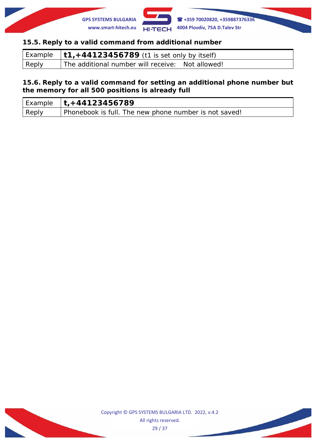

### **15.5. Reply to a valid command from additional number**

|       | Example $ \mathsf{t1},+44123456789$ (t1 is set only by itself) |
|-------|----------------------------------------------------------------|
| Reply | The additional number will receive: Not allowed!               |

#### **15.6. Reply to a valid command for setting an additional phone number but the memory for all 500 positions is already full**

|       | Example $ t$ , + 44123456789                          |
|-------|-------------------------------------------------------|
| Reply | Phonebook is full. The new phone number is not saved! |

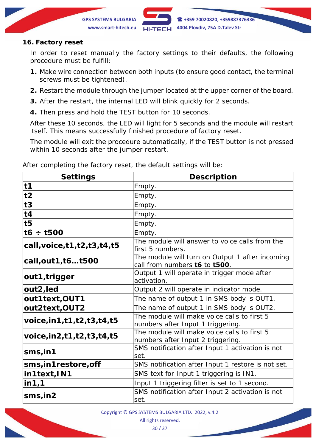

### **16. Factory reset**

In order to reset manually the factory settings to their defaults, the following procedure must be fulfill:

- **1.** Make wire connection between both inputs (to ensure good contact, the terminal screws must be tightened).
- **2.** Restart the module through the jumper located at the upper corner of the board.
- **3.** After the restart, the internal LED will blink quickly for 2 seconds.
- **4.** Then press and hold the TEST button for 10 seconds.

After these 10 seconds, the LED will light for 5 seconds and the module will restart itself. This means successfully finished procedure of factory reset.

The module will exit the procedure automatically, if the TEST button is not pressed within 10 seconds after the jumper restart.

| <b>Settings</b>                      | <b>Description</b>                                                               |
|--------------------------------------|----------------------------------------------------------------------------------|
| t1                                   | Empty.                                                                           |
| t2                                   | Empty.                                                                           |
| t3                                   | Empty.                                                                           |
| t4                                   | Empty.                                                                           |
| t <sub>5</sub>                       | Empty.                                                                           |
| $16 \div 1500$                       | Empty.                                                                           |
| call, voice, t1, t2, t3, t4, t5      | The module will answer to voice calls from the<br>first 5 numbers.               |
| call, out 1, t6 t500                 | The module will turn on Output 1 after incoming<br>call from numbers t6 to t500. |
| out1, trigger                        | Output 1 will operate in trigger mode after<br>activation.                       |
| out2, led                            | Output 2 will operate in indicator mode.                                         |
| out1text, OUT1                       | The name of output 1 in SMS body is OUT1.                                        |
| out2text, OUT2                       | The name of output 1 in SMS body is OUT2.                                        |
| voice, in 1, t 1, t 2, t 3, t 4, t 5 | The module will make voice calls to first 5<br>numbers after Input 1 triggering. |
| voice, in 2, t 1, t 2, t 3, t 4, t 5 | The module will make voice calls to first 5<br>numbers after Input 2 triggering. |
| $sms,$ in1                           | SMS notification after Input 1 activation is not<br>set.                         |
| sms, in1restore, off                 | SMS notification after Input 1 restore is not set.                               |
| in1text, IN1                         | SMS text for Input 1 triggering is IN1.                                          |
| in 1, 1                              | Input 1 triggering filter is set to 1 second.                                    |
| $sms,$ in2                           | SMS notification after Input 2 activation is not<br>set.                         |

After completing the factory reset, the default settings will be:

Copyright © GPS SYSTEMS BULGARIA LTD. 2022, v.4.2

All rights reserved.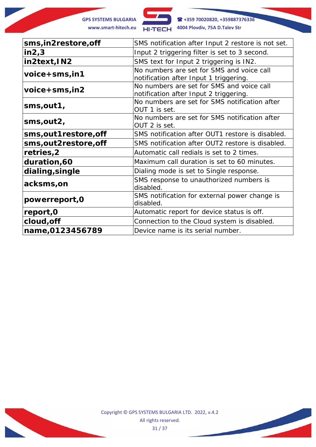**GPS SYSTEMS BULGARIA +359 70020820, +359887376336 www.smart-hitech.eu 4004 Plovdiv, 75A D.Talev Str**

| sms, in 2 restore, off  | SMS notification after Input 2 restore is not set.                                  |
|-------------------------|-------------------------------------------------------------------------------------|
| in 2, 3                 | Input 2 triggering filter is set to 3 second.                                       |
| in2text, IN2            | SMS text for Input 2 triggering is IN2.                                             |
| $voice+sms,in1$         | No numbers are set for SMS and voice call<br>notification after Input 1 triggering. |
| $voice+sms,in2$         | No numbers are set for SMS and voice call<br>notification after Input 2 triggering. |
| sms,out1,               | No numbers are set for SMS notification after<br>OUT 1 is set.                      |
| sms, out 2,             | No numbers are set for SMS notification after<br>OUT 2 is set.                      |
| sms, out 1 restore, off | SMS notification after OUT1 restore is disabled.                                    |
| sms,out2restore,off     | SMS notification after OUT2 restore is disabled.                                    |
| retries,2               | Automatic call redials is set to 2 times.                                           |
| duration,60             | Maximum call duration is set to 60 minutes.                                         |
| dialing, single         | Dialing mode is set to Single response.                                             |
| acksms,on               | SMS response to unauthorized numbers is<br>disabled.                                |
| powerreport, 0          | SMS notification for external power change is<br>disabled.                          |
| report, 0               | Automatic report for device status is off.                                          |
| cloud, off              | Connection to the <i>Cloud</i> system is disabled.                                  |
| name, 0123456789        | Device name is its serial number.                                                   |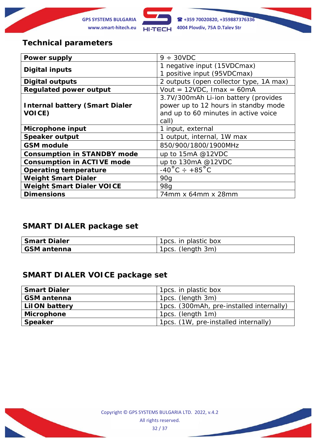

# **Technical parameters**

| <b>Power supply</b>                   | $9 \div 30$ VDC                         |
|---------------------------------------|-----------------------------------------|
| <b>Digital inputs</b>                 | 1 negative input (15VDCmax)             |
|                                       | 1 positive input (95VDCmax)             |
| <b>Digital outputs</b>                | 2 outputs (open collector type, 1A max) |
| <b>Regulated power output</b>         | Vout = $12VDC$ , Imax = $60mA$          |
|                                       | 3.7V/300mAh Li-ion battery (provides    |
| <b>Internal battery (Smart Dialer</b> | power up to 12 hours in standby mode    |
| <b>VOICE)</b>                         | and up to 60 minutes in active voice    |
|                                       | call)                                   |
| Microphone input                      | 1 input, external                       |
| <b>Speaker output</b>                 | 1 output, internal, 1W max              |
| <b>GSM</b> module                     | 850/900/1800/1900MHz                    |
| <b>Consumption in STANDBY mode</b>    | up to 15mA @12VDC                       |
| <b>Consumption in ACTIVE mode</b>     | up to 130mA @12VDC                      |
| <b>Operating temperature</b>          | $-40^{\circ}$ C ÷ +85 $^{\circ}$ C      |
| <b>Weight Smart Dialer</b>            | 90q                                     |
| <b>Weight Smart Dialer VOICE</b>      | 98 <sub>a</sub>                         |
| <b>Dimensions</b>                     | 74mm x 64mm x 28mm                      |

# **SMART DIALER package set**

| <b>Smart Dialer</b> | 1 pcs. in plastic box |
|---------------------|-----------------------|
| GSM antenna         | 1pcs. (length 3m)     |

# **SMART DIALER VOICE package set**

| <b>Smart Dialer</b>  | 1pcs. in plastic box                     |
|----------------------|------------------------------------------|
| <b>GSM</b> antenna   | 1pcs. (length 3m)                        |
| <b>LilON battery</b> | 1pcs. (300mAh, pre-installed internally) |
| <b>Microphone</b>    | 1pcs. (length 1m)                        |
| <b>Speaker</b>       | 1pcs. (1W, pre-installed internally)     |

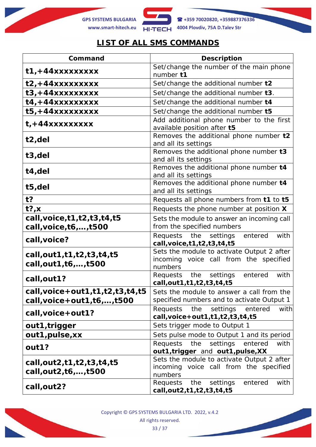



# **LIST OF ALL SMS COMMANDS**

| Command                                                                         | <b>Description</b>                                                                              |
|---------------------------------------------------------------------------------|-------------------------------------------------------------------------------------------------|
| $t1, +44xxxxxxxxx$                                                              | Set/change the number of the main phone<br>number t1                                            |
| $t2, +44xxxxxxxx$                                                               | Set/change the additional number t2                                                             |
| $t3, +44xxxxxxxx$                                                               | Set/change the additional number t3.                                                            |
| $t4, +44xxxxxxxxx$                                                              | Set/change the additional number t4                                                             |
| $t5, +44xxxxxxxx$                                                               | Set/change the additional number t5                                                             |
| $t$ , +44xxxxxxxxx                                                              | Add additional phone number to the first<br>available position after t5                         |
| t2,del                                                                          | Removes the additional phone number t2<br>and all its settings                                  |
| t3,del                                                                          | Removes the additional phone number t3<br>and all its settings                                  |
| t4,del                                                                          | Removes the additional phone number t4<br>and all its settings                                  |
| t5,del                                                                          | Removes the additional phone number t4<br>and all its settings                                  |
| $t$ ?                                                                           | Requests all phone numbers from t1 to t5                                                        |
| $t$ ?, x                                                                        | Requests the phone number at position X                                                         |
| call, voice, t1, t2, t3, t4, t5<br>call, voice, t6, , t500                      | Sets the module to answer an incoming call<br>from the specified numbers                        |
| call, voice?                                                                    | Requests the settings<br>entered<br>with<br>call, voice, t1, t2, t3, t4, t5                     |
| call, out 1, t 1, t 2, t 3, t 4, t 5<br>call, out 1, t6, , t500                 | Sets the module to activate Output 2 after<br>incoming voice call from the specified<br>numbers |
| call, out 1?                                                                    | Requests the settings<br>entered<br>with<br>call, out 1, t1, t2, t3, t4, t5                     |
| call, voice + out 1, t 1, t 2, t 3, t 4, t 5<br>call, voice + out 1, t6, , t500 | Sets the module to answer a call from the<br>specified numbers and to activate Output 1         |
| call, voice + out 1?                                                            | Requests<br>the<br>settings<br>entered<br>with<br>call, voice + out 1, t1, t2, t3, t4, t5       |
| out1, trigger                                                                   | Sets trigger mode to Output 1                                                                   |
| out1, pulse, xx                                                                 | Sets pulse mode to Output 1 and its period                                                      |
| out1?                                                                           | the<br>settings<br><b>Requests</b><br>entered<br>with<br>out1, trigger and out1, pulse, XX      |
| call, out 2, t 1, t 2, t 3, t 4, t 5<br>call, out 2, t6, , t500                 | Sets the module to activate Output 2 after<br>incoming voice call from the specified<br>numbers |
| call, out 2?                                                                    | Requests<br>the<br>settings<br>entered<br>with<br>call, out 2, t1, t2, t3, t4, t5               |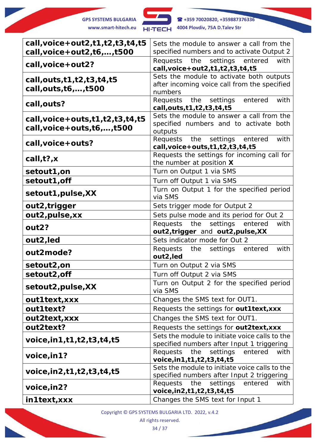

| call, voice + out 2, t 1, t 2, t 3, t 4, t 5                                           | Sets the module to answer a call from the                                                           |
|----------------------------------------------------------------------------------------|-----------------------------------------------------------------------------------------------------|
| call, voice + out $2,16,,1500$                                                         | specified numbers and to activate Output 2                                                          |
| call, voice + out 2?                                                                   | settings<br>Requests the<br>entered<br>with<br>call, voice + out 2, t1, t2, t3, t4, t5              |
| call, outs, t1, t2, t3, t4, t5<br>call, outs, t6, , t500                               | Sets the module to activate both outputs<br>after incoming voice call from the specified<br>numbers |
| call, outs?                                                                            | Requests the settings entered<br>with<br>call, outs, t1, t2, t3, t4, t5                             |
| call, voice + outs, $t1$ , $t2$ , $t3$ , $t4$ , $t5$<br>call, voice + outs, t6, , t500 | Sets the module to answer a call from the<br>specified numbers and to activate both<br>outputs      |
| call, voice + outs?                                                                    | Requests the settings entered<br>with<br>call, voice + outs, t1, t2, t3, t4, t5                     |
| call, $t$ ?, $x$                                                                       | Requests the settings for incoming call for<br>the number at position X                             |
| setout1,on                                                                             | Turn on Output 1 via SMS                                                                            |
| setout1, off                                                                           | Turn off Output 1 via SMS                                                                           |
| setout1, pulse, XX                                                                     | Turn on Output 1 for the specified period<br>via SMS                                                |
| out2, trigger                                                                          | Sets trigger mode for Output 2                                                                      |
| out2, pulse, xx                                                                        | Sets pulse mode and its period for Out 2                                                            |
| out2?                                                                                  | Requests the settings entered<br>with<br>out2, trigger and out2, pulse, XX                          |
| out2, led                                                                              | Sets indicator mode for Out 2                                                                       |
| out2mode?                                                                              | Requests the settings<br>entered<br>with<br>out2, led                                               |
| setout2,on                                                                             | Turn on Output 2 via SMS                                                                            |
| setout2, off                                                                           | Turn off Output 2 via SMS                                                                           |
| setout2, pulse, XX                                                                     | Turn on Output 2 for the specified period<br>via SMS                                                |
| out1text, xxx                                                                          | Changes the SMS text for OUT1.                                                                      |
| out1text?                                                                              | Requests the settings for out1text, xxx                                                             |
| out2text, xxx                                                                          | Changes the SMS text for OUT1.                                                                      |
| out2text?                                                                              | Requests the settings for out2text, xxx                                                             |
| voice, in 1, t 1, t 2, t 3, t 4, t 5                                                   | Sets the module to initiate voice calls to the<br>specified numbers after Input 1 triggering        |
| voice, in 1?                                                                           | Requests the<br>settings<br>entered<br>with<br>voice, in 1, t1, t2, t3, t4, t5                      |
| voice, in 2, t 1, t 2, t 3, t 4, t 5                                                   | Sets the module to initiate voice calls to the<br>specified numbers after Input 2 triggering        |
| voice, in 2?                                                                           | Requests the<br>settings<br>entered<br>with<br>voice, in 2, t1, t2, t3, t4, t5                      |
| in1text, xxx                                                                           | Changes the SMS text for Input 1                                                                    |

Copyright © GPS SYSTEMS BULGARIA LTD. 2022, v.4.2

All rights reserved.

34 / 37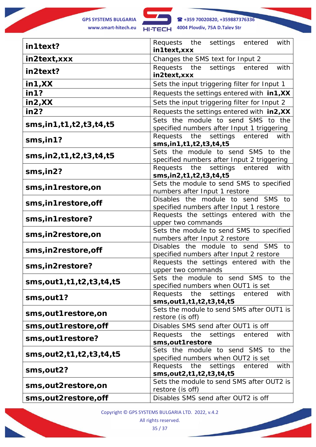

**GPS SYSTEMS BULGARIA +359 70020820, +359887376336 www.smart-hitech.eu 4004 Plovdiv, 75A D.Talev Str**

| in1text?                            | Requests the settings entered<br>with<br>in1text, xxx                             |
|-------------------------------------|-----------------------------------------------------------------------------------|
| in2text, xxx                        | Changes the SMS text for Input 2                                                  |
| in2text?                            | Requests the settings<br>with<br>entered<br>in2text, xxx                          |
| in 1, XX                            | Sets the input triggering filter for Input 1                                      |
| in 1?                               | Requests the settings entered with in1, XX                                        |
| in2,XX                              | Sets the input triggering filter for Input 2                                      |
| in2?                                | Requests the settings entered with in2, XX                                        |
| sms, in 1, t 1, t 2, t 3, t 4, t 5  | Sets the module to send SMS to the<br>specified numbers after Input 1 triggering  |
| $sms,$ in 1?                        | Requests the<br>settings<br>entered<br>with<br>sms, in 1, t 1, t 2, t 3, t 4, t 5 |
| sms, in 2, t 1, t 2, t 3, t 4, t 5  | Sets the module to send SMS to the<br>specified numbers after Input 2 triggering  |
| $sms,$ in2?                         | Requests the<br>settings<br>entered<br>with<br>sms, in 2, t 1, t 2, t 3, t 4, t 5 |
| sms, in 1 restore, on               | Sets the module to send SMS to specified<br>numbers after Input 1 restore         |
| sms, in 1 restore, off              | Disables the module to send SMS to<br>specified numbers after Input 1 restore     |
| sms, in 1 restore?                  | Requests the settings entered with the<br>upper two commands                      |
| sms, in 2 restore, on               | Sets the module to send SMS to specified<br>numbers after Input 2 restore         |
| sms, in2restore, off                | Disables the module to send SMS to<br>specified numbers after Input 2 restore     |
| sms, in 2 restore?                  | Requests the settings entered with the<br>upper two commands                      |
| sms, out 1, t 1, t 2, t 3, t 4, t 5 | Sets the module to send SMS to the<br>specified numbers when OUT1 is set          |
| sms, out 1?                         | Requests the settings<br>with<br>entered<br>sms, out 1, t 1, t 2, t 3, t 4, t 5   |
| sms, out 1 restore, on              | Sets the module to send SMS after OUT1 is<br>restore (is off)                     |
| sms, out 1 restore, off             | Disables SMS send after OUT1 is off                                               |
| sms, out 1 restore?                 | Requests the settings entered<br>with<br>sms, out 1 restore                       |
| sms, out 2, t 1, t 2, t 3, t 4, t 5 | Sets the module to send SMS to the<br>specified numbers when OUT2 is set          |
| sms, out 2?                         | Requests the settings<br>entered<br>with<br>sms, out 2, t 1, t 2, t 3, t 4, t 5   |
| sms,out2restore,on                  | Sets the module to send SMS after OUT2 is<br>restore (is off)                     |
| sms,out2restore,off                 | Disables SMS send after OUT2 is off                                               |

Copyright © GPS SYSTEMS BULGARIA LTD. 2022, v.4.2

All rights reserved.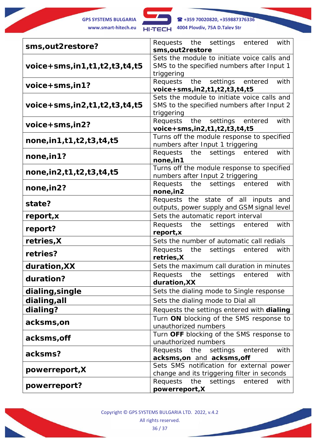

**GPS SYSTEMS BULGARIA +359 70020820, +359887376336 www.smart-hitech.eu 4004 Plovdiv, 75A D.Talev Str**

| sms, out 2 restore?                 | Requests the settings<br>with<br>entered                                     |
|-------------------------------------|------------------------------------------------------------------------------|
|                                     | sms, out 2 restore                                                           |
|                                     | Sets the module to initiate voice calls and                                  |
| $voice+sms, in1,t1,t2,t3,t4,t5$     | SMS to the specified numbers after Input 1                                   |
|                                     | triggering<br>Requests the settings entered<br>with                          |
| $voice+sms,in1?$                    | voice+sms, in2, t1, t2, t3, t4, t5                                           |
|                                     | Sets the module to initiate voice calls and                                  |
| $voice+sms,in2,t1,t2,t3,t4,t5$      | SMS to the specified numbers after Input 2                                   |
|                                     | triggering                                                                   |
|                                     | Requests the settings<br>entered<br>with                                     |
| $voice+sms,in2?$                    | voice+sms, in2, t1, t2, t3, t4, t5                                           |
| none, in 1, t 1, t 2, t 3, t 4, t 5 | Turns off the module response to specified                                   |
|                                     | numbers after Input 1 triggering                                             |
| none, in 1?                         | Requests the settings<br>entered<br>with                                     |
|                                     | none, in 1                                                                   |
| none, in 2, t 1, t 2, t 3, t 4, t 5 | Turns off the module response to specified                                   |
|                                     | numbers after Input 2 triggering<br>Requests the settings<br>entered<br>with |
| none, in 2?                         | none, in 2                                                                   |
|                                     | Requests the state of all inputs<br>and                                      |
| state?                              | outputs, power supply and GSM signal level                                   |
| report, x                           | Sets the automatic report interval                                           |
|                                     | Requests the settings entered<br>with                                        |
| report?                             | report, x                                                                    |
| retries, X                          | Sets the number of automatic call redials                                    |
| retries?                            | Requests<br>the<br>settings<br>entered<br>with                               |
|                                     | retries, X                                                                   |
| duration, XX                        | Sets the maximum call duration in minutes                                    |
| duration?                           | Requests the settings entered<br>with                                        |
|                                     | duration, XX                                                                 |
| dialing, single                     | Sets the dialing mode to Single response                                     |
| dialing, all                        | Sets the dialing mode to Dial all                                            |
| dialing?                            | Requests the settings entered with dialing                                   |
| acksms, on                          | Turn ON blocking of the SMS response to                                      |
|                                     | unauthorized numbers                                                         |
| acksms, off                         | Turn OFF blocking of the SMS response to                                     |
| acksms?                             | unauthorized numbers                                                         |
|                                     | entered<br>with<br>Requests the<br>settings                                  |
|                                     | acksms, on and acksms, off<br>Sets SMS notification for external power       |
| powerreport, X                      | change and its triggering filter in seconds                                  |
|                                     | settings<br>Requests<br>entered<br>the<br>with                               |
| powerreport?                        | powerreport, X                                                               |

Copyright © GPS SYSTEMS BULGARIA LTD. 2022, v.4.2 All rights reserved. 36 / 37